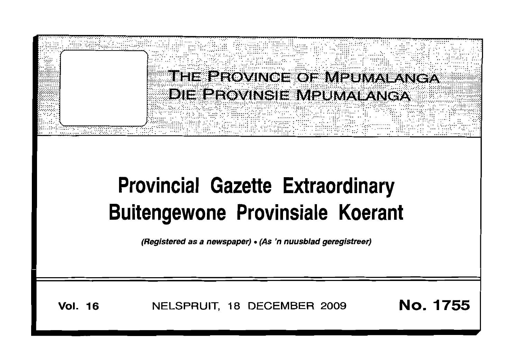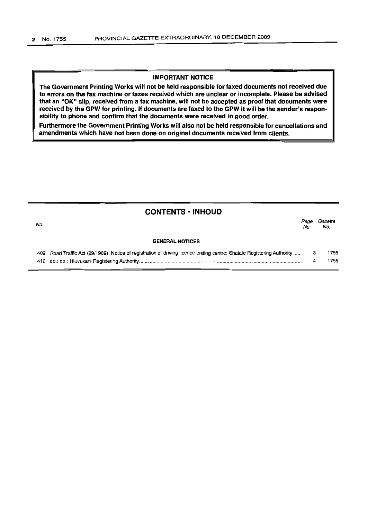## **IMPORTANT NOTICE**

The Government Printing Works will not be held responsible for faxed documents not received due to errors on the fax machine or faxes received which are unclear or incomplete. Please be advised that an "OK" slip, received from a fax machine, will not be accepted as proof that documents were received by the GPW for printing. If documents are faxed to the GPW it will be the sender's responsibility to phone and confirm that the documents were received in good order.

Furthermore the Government Printing Works will also not be held responsible for cancellations and amendments which have not been done on original documents received from clients.

| <b>CONTENTS • INHOUD</b> |                                                                                                                     |             |                |
|--------------------------|---------------------------------------------------------------------------------------------------------------------|-------------|----------------|
| No.                      |                                                                                                                     | Page<br>No. | Gazette<br>No. |
| <b>GENERAL NOTICES</b>   |                                                                                                                     |             |                |
| 409                      | Road Traffic Act (29/1989): Notice of registration of driving licence testing centre: Shatale Registering Authority | 3           | 1755           |
| 410                      |                                                                                                                     | 4           | 1755           |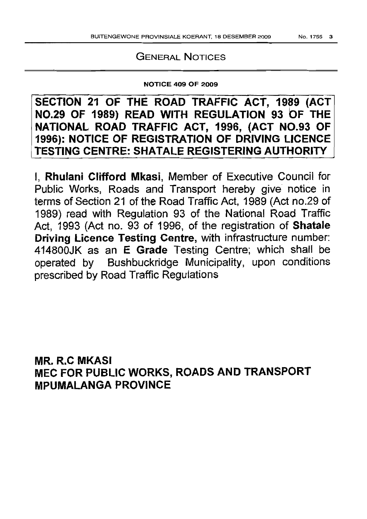## GENERAL NOTICES

## NOTICE 409 OF 2009

SECTION 21 OF THE ROAD TRAFFIC ACT, 1989 (ACT NO.29 OF 1989) READ WITH REGULATION <sup>93</sup> or THE NATIONAL ROAD TRAFFIC ACT, 1996, (ACT NO.93 OF 1996): NOTICE OF REGISTRATION OF DRIVING LICENCE TESTING CENTRE: SHATALE REGISTERING AUTHORITY

I, Rhulani Clifford Mkasi, Member of Executive Council for Public Works, Roads and Transport hereby give notice in terms of Section 21 of the Road Traffic Act, 1989 (Act no.29 of 1989) read with Regulation 93 of the National Road Traffic Act, 1993 (Act no. 93 of 1996, of the registration of Shatale Driving Licence Testing Centre, with infrastructure number: 414800JK as an E Grade Testing Centre; which shall be operated by Bushbuckridge Municipality, upon conditions prescribed by Road Traffic Regulations

MR. R.C MKASI MEC FOR PUBLIC WORKS, ROADS AND TRANSPORT MPUMALANGA PROVINCE